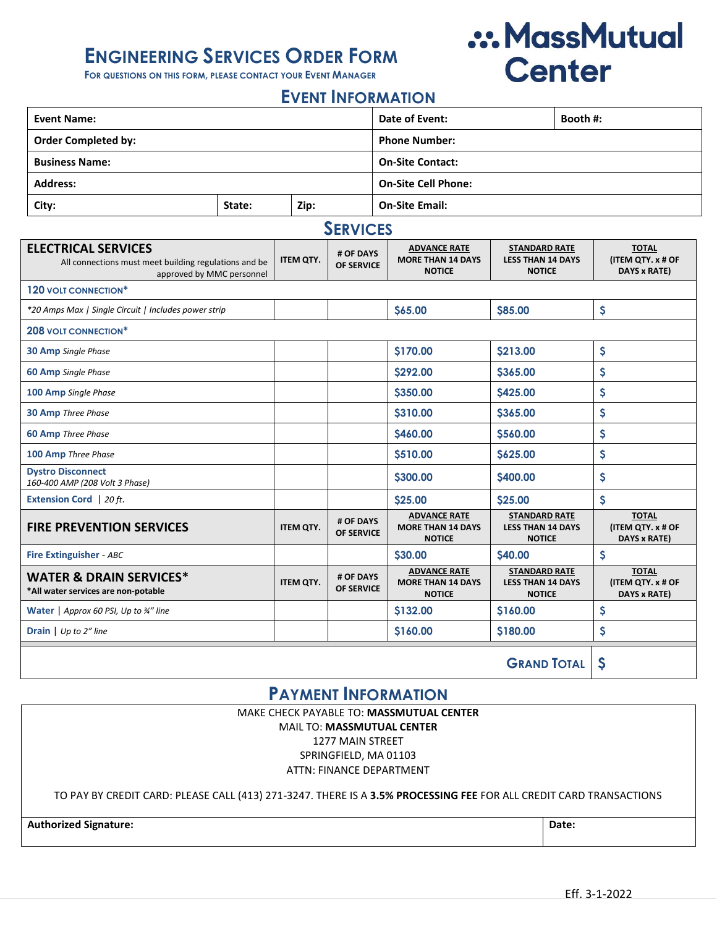## **ENGINEERING SERVICES ORDER FORM**

**FOR QUESTIONS ON THIS FORM, PLEASE CONTACT YOUR EVENT MANAGER**

# .:. MassMutual **Center**

### **EVENT INFORMATION**

| <b>Event Name:</b>         |        |      | Date of Event:             | Booth #: |  |
|----------------------------|--------|------|----------------------------|----------|--|
| <b>Order Completed by:</b> |        |      | <b>Phone Number:</b>       |          |  |
| <b>Business Name:</b>      |        |      | <b>On-Site Contact:</b>    |          |  |
| <b>Address:</b>            |        |      | <b>On-Site Cell Phone:</b> |          |  |
| City:                      | State: | Zip: | <b>On-Site Email:</b>      |          |  |

### **SERVICES**

| ------                                                                                                           |                  |                                |                                                                  |                                                                   |                                                   |  |  |  |  |
|------------------------------------------------------------------------------------------------------------------|------------------|--------------------------------|------------------------------------------------------------------|-------------------------------------------------------------------|---------------------------------------------------|--|--|--|--|
| <b>ELECTRICAL SERVICES</b><br>All connections must meet building regulations and be<br>approved by MMC personnel | <b>ITEM QTY.</b> | # OF DAYS<br>OF SERVICE        | <b>ADVANCE RATE</b><br><b>MORE THAN 14 DAYS</b><br><b>NOTICE</b> | <b>STANDARD RATE</b><br><b>LESS THAN 14 DAYS</b><br><b>NOTICE</b> | <b>TOTAL</b><br>(ITEM QTY. x # OF<br>DAYS x RATE) |  |  |  |  |
| 120 VOLT CONNECTION*                                                                                             |                  |                                |                                                                  |                                                                   |                                                   |  |  |  |  |
| *20 Amps Max   Single Circuit   Includes power strip                                                             |                  |                                | <b>S65.00</b>                                                    | <b>S85.00</b>                                                     | \$                                                |  |  |  |  |
| <b>208 VOLT CONNECTION*</b>                                                                                      |                  |                                |                                                                  |                                                                   |                                                   |  |  |  |  |
| <b>30 Amp</b> Single Phase                                                                                       |                  |                                | <b>S170.00</b>                                                   | <b>S213.00</b>                                                    | \$                                                |  |  |  |  |
| <b>60 Amp</b> Single Phase                                                                                       |                  |                                | \$292.00                                                         | \$365.00                                                          | \$                                                |  |  |  |  |
| 100 Amp Single Phase                                                                                             |                  |                                | \$350.00                                                         | \$425.00                                                          | \$                                                |  |  |  |  |
| <b>30 Amp</b> Three Phase                                                                                        |                  |                                | <b>\$310.00</b>                                                  | <b>\$365.00</b>                                                   | \$                                                |  |  |  |  |
| <b>60 Amp</b> Three Phase                                                                                        |                  |                                | S460.00                                                          | <b>S560.00</b>                                                    | \$                                                |  |  |  |  |
| 100 Amp Three Phase                                                                                              |                  |                                | \$510.00                                                         | <b>\$625.00</b>                                                   | \$                                                |  |  |  |  |
| <b>Dystro Disconnect</b><br>160-400 AMP (208 Volt 3 Phase)                                                       |                  |                                | \$300.00                                                         | \$400.00                                                          | \$                                                |  |  |  |  |
| <b>Extension Cord</b>   20 ft.                                                                                   |                  |                                | \$25.00                                                          | \$25.00                                                           | \$                                                |  |  |  |  |
| <b>FIRE PREVENTION SERVICES</b>                                                                                  | <b>ITEM QTY.</b> | # OF DAYS<br>OF SERVICE        | <b>ADVANCE RATE</b><br><b>MORE THAN 14 DAYS</b><br><b>NOTICE</b> | <b>STANDARD RATE</b><br><b>LESS THAN 14 DAYS</b><br><b>NOTICE</b> | <b>TOTAL</b><br>(ITEM QTY. x # OF<br>DAYS x RATE) |  |  |  |  |
| <b>Fire Extinguisher - ABC</b>                                                                                   |                  |                                | <b>S30.00</b>                                                    | <b>S40.00</b>                                                     | $\boldsymbol{\mathsf{S}}$                         |  |  |  |  |
| <b>WATER &amp; DRAIN SERVICES*</b><br>*All water services are non-potable                                        | <b>ITEM QTY.</b> | # OF DAYS<br><b>OF SERVICE</b> | <b>ADVANCE RATE</b><br><b>MORE THAN 14 DAYS</b><br><b>NOTICE</b> | <b>STANDARD RATE</b><br><b>LESS THAN 14 DAYS</b><br><b>NOTICE</b> | <b>TOTAL</b><br>(ITEM QTY. x # OF<br>DAYS x RATE) |  |  |  |  |
| <b>Water</b>   Approx 60 PSI, Up to $\frac{3}{4}$ " line                                                         |                  |                                | \$132.00                                                         | S160.00                                                           | \$                                                |  |  |  |  |
| <b>Drain</b> $\bigcup$ <i>Up to 2"</i> line                                                                      |                  |                                | \$160.00                                                         | <b>S180.00</b>                                                    | \$                                                |  |  |  |  |
|                                                                                                                  |                  |                                |                                                                  | <b>GRAND TOTAL</b>                                                | \$                                                |  |  |  |  |

## **PAYMENT INFORMATION**

MAKE CHECK PAYABLE TO: **MASSMUTUAL CENTER** MAIL TO: **MASSMUTUAL CENTER** 1277 MAIN STREET SPRINGFIELD, MA 01103 ATTN: FINANCE DEPARTMENT

TO PAY BY CREDIT CARD: PLEASE CALL (413) 271-3247. THERE IS A **3.5% PROCESSING FEE** FOR ALL CREDIT CARD TRANSACTIONS

**Authorized Signature: Date:**